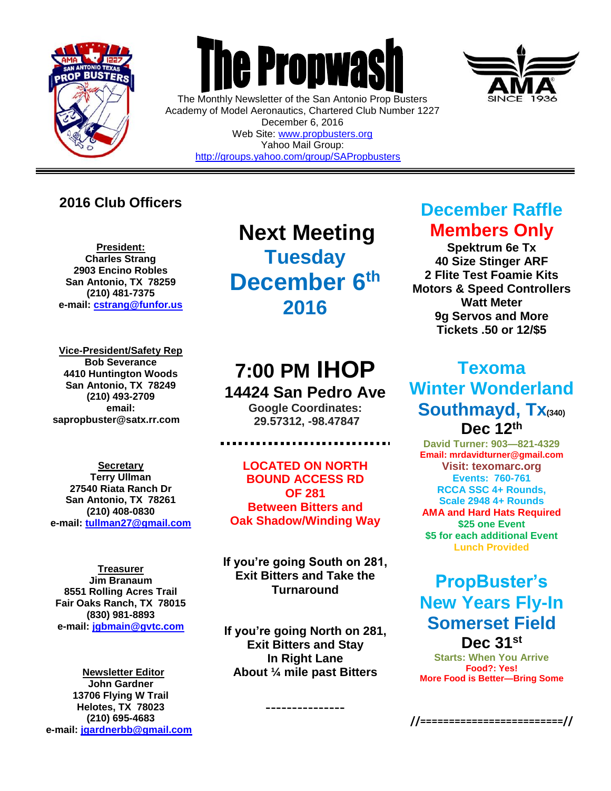

 $\overline{a}$ 



The Monthly Newsletter of the San Antonio Prop Busters Academy of Model Aeronautics, Chartered Club Number 1227 December 6, 2016 Web Site: [www.propbusters.org](http://www.propbusters.org/) Yahoo Mail Group: <http://groups.yahoo.com/group/SAPropbusters>

### **2016 Club Officers**

**President: Charles Strang 2903 Encino Robles San Antonio, TX 78259 (210) 481-7375 e-mail: [cstrang@funfor.us](mailto:cstrang@funfor.us)**

**Vice-President/Safety Rep Bob Severance 4410 Huntington Woods San Antonio, TX 78249 (210) 493-2709 email: sapropbuster@satx.rr.com**

**Secretary Terry Ullman 27540 Riata Ranch Dr San Antonio, TX 78261 (210) 408-0830 e-mail: [tullman27@gmail.com](mailto:tullman27@gmail.com)**

**Treasurer Jim Branaum 8551 Rolling Acres Trail Fair Oaks Ranch, TX 78015 (830) 981-8893 e-mail: [jgbmain@gvtc.com](mailto:jgbmain@gvtc.com)**

**Newsletter Editor John Gardner 13706 Flying W Trail Helotes, TX 78023 (210) 695-4683 e-mail: [jgardnerbb@gmail.com](mailto:jgardnerbb@gmail.com)**

**Next Meeting Tuesday December 6 th 2016**

# **7:00 PM IHOP 14424 San Pedro Ave**

**Google Coordinates: 29.57312, -98.47847**

**LOCATED ON NORTH BOUND ACCESS RD OF 281 Between Bitters and Oak Shadow/Winding Way**

**If you're going South on 281, Exit Bitters and Take the Turnaround**

**If you're going North on 281, Exit Bitters and Stay In Right Lane About ¼ mile past Bitters**

---------------



**Spektrum 6e Tx 40 Size Stinger ARF 2 Flite Test Foamie Kits Motors & Speed Controllers Watt Meter 9g Servos and More Tickets .50 or 12/\$5** 

## **Texoma Winter Wonderland Southmayd, Tx(340) Dec 12th**

**David Turner: 903—821-4329 Email: mrdavidturner@gmail.com Visit: texomarc.org Events: 760-761 RCCA SSC 4+ Rounds, Scale 2948 4+ Rounds AMA and Hard Hats Required \$25 one Event \$5 for each additional Event Lunch Provided**

## **PropBuster's New Years Fly-In Somerset Field Dec 31st**

**Starts: When You Arrive Food?: Yes! More Food is Better—Bring Some**



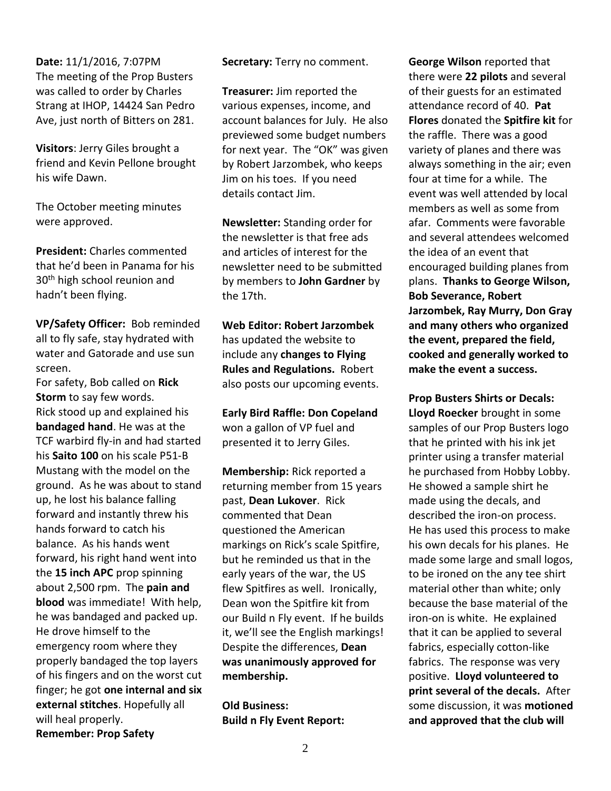**Date:** 11/1/2016, 7:07PM The meeting of the Prop Busters was called to order by Charles Strang at IHOP, 14424 San Pedro Ave, just north of Bitters on 281.

**Visitors**: Jerry Giles brought a friend and Kevin Pellone brought his wife Dawn.

The October meeting minutes were approved.

**President:** Charles commented that he'd been in Panama for his 30<sup>th</sup> high school reunion and hadn't been flying.

**VP/Safety Officer:** Bob reminded all to fly safe, stay hydrated with water and Gatorade and use sun screen.

For safety, Bob called on **Rick Storm** to say few words. Rick stood up and explained his **bandaged hand**. He was at the TCF warbird fly-in and had started his **Saito 100** on his scale P51-B Mustang with the model on the ground. As he was about to stand up, he lost his balance falling forward and instantly threw his hands forward to catch his balance. As his hands went forward, his right hand went into the **15 inch APC** prop spinning about 2,500 rpm. The **pain and blood** was immediate! With help, he was bandaged and packed up. He drove himself to the emergency room where they properly bandaged the top layers of his fingers and on the worst cut finger; he got **one internal and six external stitches**. Hopefully all will heal properly. **Remember: Prop Safety**

**Secretary:** Terry no comment.

**Treasurer:** Jim reported the various expenses, income, and account balances for July. He also previewed some budget numbers for next year. The "OK" was given by Robert Jarzombek, who keeps Jim on his toes. If you need details contact Jim.

**Newsletter:** Standing order for the newsletter is that free ads and articles of interest for the newsletter need to be submitted by members to **John Gardner** by the 17th.

**Web Editor: Robert Jarzombek**  has updated the website to include any **changes to Flying Rules and Regulations.** Robert also posts our upcoming events.

**Early Bird Raffle: Don Copeland** won a gallon of VP fuel and presented it to Jerry Giles.

**Membership:** Rick reported a returning member from 15 years past, **Dean Lukover**. Rick commented that Dean questioned the American markings on Rick's scale Spitfire, but he reminded us that in the early years of the war, the US flew Spitfires as well. Ironically, Dean won the Spitfire kit from our Build n Fly event. If he builds it, we'll see the English markings! Despite the differences, **Dean was unanimously approved for membership.**

**Old Business: Build n Fly Event Report:**

**George Wilson** reported that there were **22 pilots** and several of their guests for an estimated attendance record of 40. **Pat Flores** donated the **Spitfire kit** for the raffle. There was a good variety of planes and there was always something in the air; even four at time for a while. The event was well attended by local members as well as some from afar. Comments were favorable and several attendees welcomed the idea of an event that encouraged building planes from plans. **Thanks to George Wilson, Bob Severance, Robert Jarzombek, Ray Murry, Don Gray and many others who organized the event, prepared the field, cooked and generally worked to make the event a success.** 

**Prop Busters Shirts or Decals: Lloyd Roecker** brought in some samples of our Prop Busters logo that he printed with his ink jet printer using a transfer material he purchased from Hobby Lobby. He showed a sample shirt he made using the decals, and described the iron-on process. He has used this process to make his own decals for his planes. He made some large and small logos, to be ironed on the any tee shirt material other than white; only because the base material of the iron-on is white.He explained that it can be applied to several fabrics, especially cotton-like fabrics. The response was very positive. **Lloyd volunteered to print several of the decals.** After some discussion, it was **motioned and approved that the club will**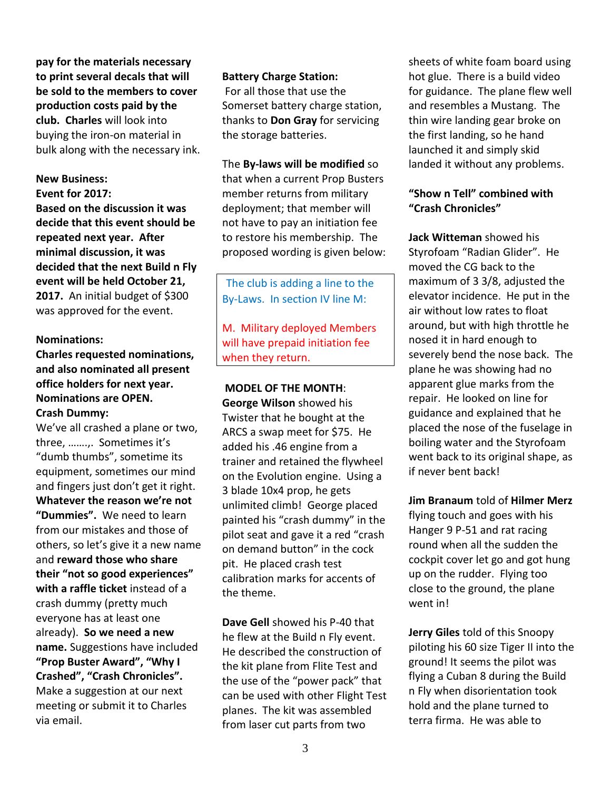**pay for the materials necessary to print several decals that will be sold to the members to cover production costs paid by the club. Charles** will look into buying the iron-on material in bulk along with the necessary ink.

#### **New Business:**

**Event for 2017:**

**Based on the discussion it was decide that this event should be repeated next year. After minimal discussion, it was decided that the next Build n Fly event will be held October 21, 2017.** An initial budget of \$300 was approved for the event.

#### **Nominations:**

### **Charles requested nominations, and also nominated all present office holders for next year. Nominations are OPEN.**

#### **Crash Dummy:**

We've all crashed a plane or two, three, …….,. Sometimes it's "dumb thumbs", sometime its equipment, sometimes our mind and fingers just don't get it right. **Whatever the reason we're not "Dummies".** We need to learn from our mistakes and those of others, so let's give it a new name and **reward those who share their "not so good experiences" with a raffle ticket** instead of a crash dummy (pretty much everyone has at least one already). **So we need a new name.** Suggestions have included **"Prop Buster Award", "Why I Crashed", "Crash Chronicles".** Make a suggestion at our next meeting or submit it to Charles via email.

#### **Battery Charge Station:**

For all those that use the Somerset battery charge station, thanks to **Don Gray** for servicing the storage batteries.

The **By-laws will be modified** so that when a current Prop Busters member returns from military deployment; that member will not have to pay an initiation fee to restore his membership. The proposed wording is given below:

The club is adding a line to the By-Laws. In section IV line M:

M. Military deployed Members will have prepaid initiation fee when they return.

#### **MODEL OF THE MONTH**:

**George Wilson** showed his Twister that he bought at the ARCS a swap meet for \$75. He added his .46 engine from a trainer and retained the flywheel on the Evolution engine. Using a 3 blade 10x4 prop, he gets unlimited climb! George placed painted his "crash dummy" in the pilot seat and gave it a red "crash on demand button" in the cock pit. He placed crash test calibration marks for accents of the theme.

**Dave Gell** showed his P-40 that he flew at the Build n Fly event. He described the construction of the kit plane from Flite Test and the use of the "power pack" that can be used with other Flight Test planes. The kit was assembled from laser cut parts from two

sheets of white foam board using hot glue. There is a build video for guidance. The plane flew well and resembles a Mustang. The thin wire landing gear broke on the first landing, so he hand launched it and simply skid landed it without any problems.

#### **"Show n Tell" combined with "Crash Chronicles"**

**Jack Witteman** showed his Styrofoam "Radian Glider". He moved the CG back to the maximum of 3 3/8, adjusted the elevator incidence. He put in the air without low rates to float around, but with high throttle he nosed it in hard enough to severely bend the nose back. The plane he was showing had no apparent glue marks from the repair. He looked on line for guidance and explained that he placed the nose of the fuselage in boiling water and the Styrofoam went back to its original shape, as if never bent back!

**Jim Branaum** told of **Hilmer Merz** flying touch and goes with his Hanger 9 P-51 and rat racing round when all the sudden the cockpit cover let go and got hung up on the rudder. Flying too close to the ground, the plane went in!

**Jerry Giles** told of this Snoopy piloting his 60 size Tiger II into the ground! It seems the pilot was flying a Cuban 8 during the Build n Fly when disorientation took hold and the plane turned to terra firma. He was able to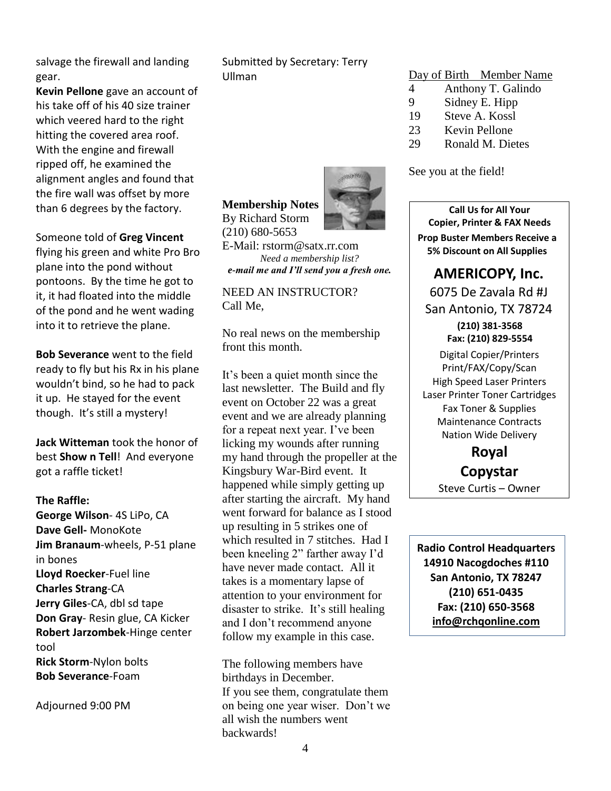salvage the firewall and landing gear.

**Kevin Pellone** gave an account of his take off of his 40 size trainer which veered hard to the right hitting the covered area roof. With the engine and firewall ripped off, he examined the alignment angles and found that the fire wall was offset by more than 6 degrees by the factory.

Someone told of **Greg Vincent** flying his green and white Pro Bro plane into the pond without pontoons. By the time he got to it, it had floated into the middle of the pond and he went wading into it to retrieve the plane.

**Bob Severance** went to the field ready to fly but his Rx in his plane wouldn't bind, so he had to pack it up. He stayed for the event though. It's still a mystery!

**Jack Witteman** took the honor of best **Show n Tell**! And everyone got a raffle ticket!

#### **The Raffle:**

**George Wilson**- 4S LiPo, CA **Dave Gell-** MonoKote **Jim Branaum**-wheels, P-51 plane in bones **Lloyd Roecker**-Fuel line **Charles Strang**-CA **Jerry Giles**-CA, dbl sd tape **Don Gray**- Resin glue, CA Kicker **Robert Jarzombek**-Hinge center tool **Rick Storm**-Nylon bolts **Bob Severance**-Foam

Adjourned 9:00 PM

Submitted by Secretary: Terry Ullman

#### Day of Birth Member Name

- 4 Anthony T. Galindo
- 9 Sidney E. Hipp
- 19 Steve A. Kossl
- 23 Kevin Pellone
- 29 Ronald M. Dietes

See you at the field!

**Call Us for All Your Copier, Printer & FAX Needs Prop Buster Members Receive a 5% Discount on All Supplies**

### **AMERICOPY, Inc.**

6075 De Zavala Rd #J San Antonio, TX 78724

**(210) 381-3568 Fax: (210) 829-5554** Digital Copier/Printers Print/FAX/Copy/Scan High Speed Laser Printers Laser Printer Toner Cartridges Fax Toner & Supplies Maintenance Contracts Nation Wide Delivery

> **Royal Copystar** Steve Curtis – Owner

**Radio Control Headquarters 14910 Nacogdoches #110 San Antonio, TX 78247 (210) 651-0435 Fax: (210) 650-3568 [info@rchqonline.com](mailto:info@rchqonline.com)**

#### **Membership Notes** By Richard Storm



(210) 680-5653 E-Mail: rstorm@satx.rr.com *Need a membership list?*

*e-mail me and I'll send you a fresh one.* NEED AN INSTRUCTOR?

Call Me,

No real news on the membership front this month.

It's been a quiet month since the last newsletter. The Build and fly event on October 22 was a great event and we are already planning for a repeat next year. I've been licking my wounds after running my hand through the propeller at the Kingsbury War-Bird event. It happened while simply getting up after starting the aircraft. My hand went forward for balance as I stood up resulting in 5 strikes one of which resulted in 7 stitches. Had I been kneeling 2" farther away I'd have never made contact. All it takes is a momentary lapse of attention to your environment for disaster to strike. It's still healing and I don't recommend anyone follow my example in this case.

The following members have birthdays in December. If you see them, congratulate them on being one year wiser. Don't we all wish the numbers went backwards!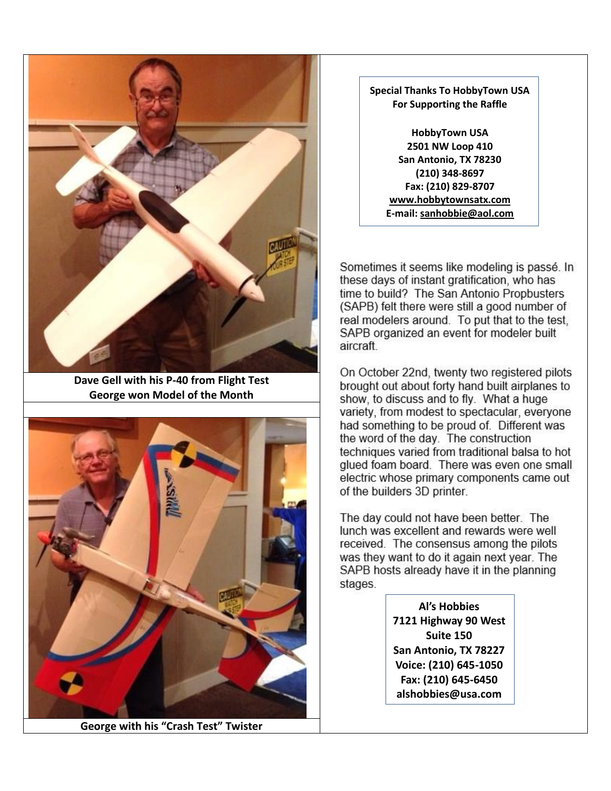

**Dave Gell with his P-40 from Flight Test George won Model of the Month**



**George with his "Crash Test" Twister**

#### **Special Thanks To HobbyTown USA For Supporting the Raffle**

**HobbyTown USA 2501 NW Loop 410 San Antonio, TX 78230 (210) 348-8697 Fax: (210) 829-8707 [www.hobbytownsatx.com](http://www.hobbytownsatx.com/) E-mail: [sanhobbie@aol.com](mailto:sanhobbie@aol.com)**

Sometimes it seems like modeling is passé. In these days of instant gratification, who has time to build? The San Antonio Propbusters (SAPB) felt there were still a good number of real modelers around. To put that to the test, SAPB organized an event for modeler built aircraft.

On October 22nd, twenty two registered pilots brought out about forty hand built airplanes to show, to discuss and to fly. What a huge variety, from modest to spectacular, everyone had something to be proud of. Different was the word of the day. The construction techniques varied from traditional balsa to hot glued foam board. There was even one small electric whose primary components came out of the builders 3D printer.

The day could not have been better. The lunch was excellent and rewards were well received. The consensus among the pilots was they want to do it again next year. The SAPB hosts already have it in the planning stages.

> **Al's Hobbies 7121 Highway 90 West Suite 150 San Antonio, TX 78227 Voice: (210) 645-1050 Fax: (210) 645-6450 alshobbies@usa.com**